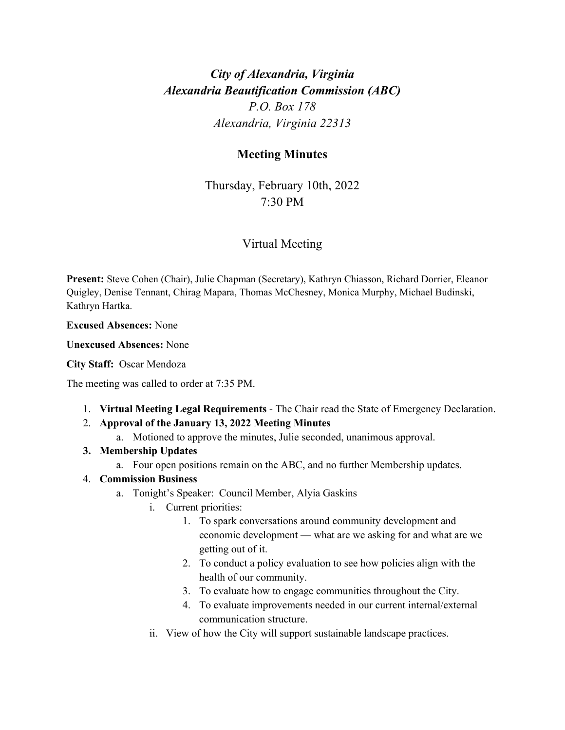# *City of Alexandria, Virginia Alexandria Beautification Commission (ABC) P.O. Box 178 Alexandria, Virginia 22313*

## **Meeting Minutes**

Thursday, February 10th, 2022 7:30 PM

## Virtual Meeting

**Present:** Steve Cohen (Chair), Julie Chapman (Secretary), Kathryn Chiasson, Richard Dorrier, Eleanor Quigley, Denise Tennant, Chirag Mapara, Thomas McChesney, Monica Murphy, Michael Budinski, Kathryn Hartka.

**Excused Absences:** None

**Unexcused Absences:** None

#### **City Staff:** Oscar Mendoza

The meeting was called to order at 7:35 PM.

- 1. **Virtual Meeting Legal Requirements** The Chair read the State of Emergency Declaration.
- 2. **Approval of the January 13, 2022 Meeting Minutes**
	- a. Motioned to approve the minutes, Julie seconded, unanimous approval.

### **3. Membership Updates**

a. Four open positions remain on the ABC, and no further Membership updates.

### 4. **Commission Business**

- a. Tonight's Speaker: Council Member, Alyia Gaskins
	- i. Current priorities:
		- 1. To spark conversations around community development and economic development — what are we asking for and what are we getting out of it.
		- 2. To conduct a policy evaluation to see how policies align with the health of our community.
		- 3. To evaluate how to engage communities throughout the City.
		- 4. To evaluate improvements needed in our current internal/external communication structure.
	- ii. View of how the City will support sustainable landscape practices.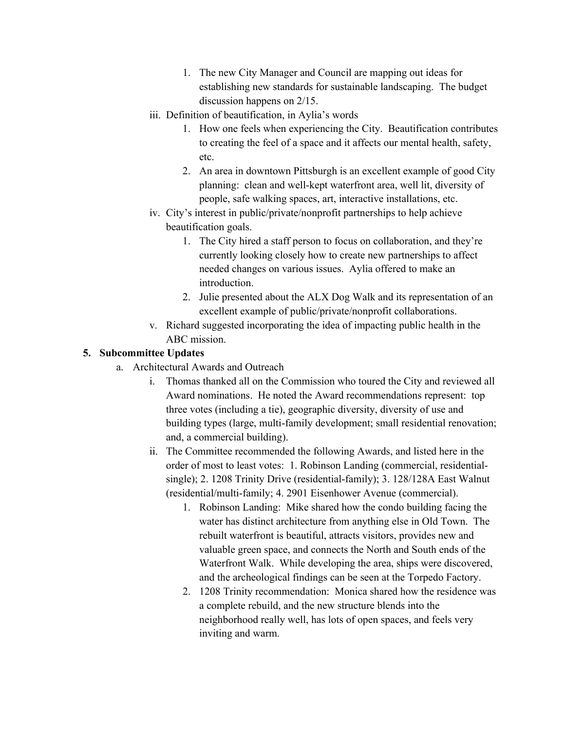- 1. The new City Manager and Council are mapping out ideas for establishing new standards for sustainable landscaping. The budget discussion happens on 2/15.
- iii. Definition of beautification, in Aylia's words
	- 1. How one feels when experiencing the City. Beautification contributes to creating the feel of a space and it affects our mental health, safety, etc.
	- 2. An area in downtown Pittsburgh is an excellent example of good City planning: clean and well-kept waterfront area, well lit, diversity of people, safe walking spaces, art, interactive installations, etc.
- iv. City's interest in public/private/nonprofit partnerships to help achieve beautification goals.
	- 1. The City hired a staff person to focus on collaboration, and they're currently looking closely how to create new partnerships to affect needed changes on various issues. Aylia offered to make an introduction.
	- 2. Julie presented about the ALX Dog Walk and its representation of an excellent example of public/private/nonprofit collaborations.
- v. Richard suggested incorporating the idea of impacting public health in the ABC mission.

## **5. Subcommittee Updates**

- a. Architectural Awards and Outreach
	- i. Thomas thanked all on the Commission who toured the City and reviewed all Award nominations. He noted the Award recommendations represent: top three votes (including a tie), geographic diversity, diversity of use and building types (large, multi-family development; small residential renovation; and, a commercial building).
	- ii. The Committee recommended the following Awards, and listed here in the order of most to least votes: 1. Robinson Landing (commercial, residentialsingle); 2. 1208 Trinity Drive (residential-family); 3. 128/128A East Walnut (residential/multi-family; 4. 2901 Eisenhower Avenue (commercial).
		- 1. Robinson Landing: Mike shared how the condo building facing the water has distinct architecture from anything else in Old Town. The rebuilt waterfront is beautiful, attracts visitors, provides new and valuable green space, and connects the North and South ends of the Waterfront Walk. While developing the area, ships were discovered, and the archeological findings can be seen at the Torpedo Factory.
		- 2. 1208 Trinity recommendation: Monica shared how the residence was a complete rebuild, and the new structure blends into the neighborhood really well, has lots of open spaces, and feels very inviting and warm.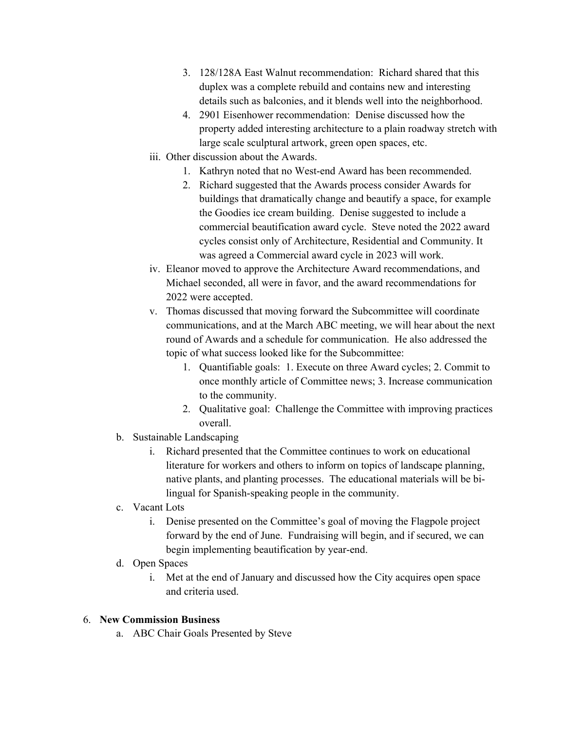- 3. 128/128A East Walnut recommendation: Richard shared that this duplex was a complete rebuild and contains new and interesting details such as balconies, and it blends well into the neighborhood.
- 4. 2901 Eisenhower recommendation: Denise discussed how the property added interesting architecture to a plain roadway stretch with large scale sculptural artwork, green open spaces, etc.
- iii. Other discussion about the Awards.
	- 1. Kathryn noted that no West-end Award has been recommended.
	- 2. Richard suggested that the Awards process consider Awards for buildings that dramatically change and beautify a space, for example the Goodies ice cream building. Denise suggested to include a commercial beautification award cycle. Steve noted the 2022 award cycles consist only of Architecture, Residential and Community. It was agreed a Commercial award cycle in 2023 will work.
- iv. Eleanor moved to approve the Architecture Award recommendations, and Michael seconded, all were in favor, and the award recommendations for 2022 were accepted.
- v. Thomas discussed that moving forward the Subcommittee will coordinate communications, and at the March ABC meeting, we will hear about the next round of Awards and a schedule for communication. He also addressed the topic of what success looked like for the Subcommittee:
	- 1. Quantifiable goals: 1. Execute on three Award cycles; 2. Commit to once monthly article of Committee news; 3. Increase communication to the community.
	- 2. Qualitative goal: Challenge the Committee with improving practices overall.
- b. Sustainable Landscaping
	- i. Richard presented that the Committee continues to work on educational literature for workers and others to inform on topics of landscape planning, native plants, and planting processes. The educational materials will be bilingual for Spanish-speaking people in the community.
- c. Vacant Lots
	- i. Denise presented on the Committee's goal of moving the Flagpole project forward by the end of June. Fundraising will begin, and if secured, we can begin implementing beautification by year-end.
- d. Open Spaces
	- i. Met at the end of January and discussed how the City acquires open space and criteria used.

### 6. **New Commission Business**

a. ABC Chair Goals Presented by Steve